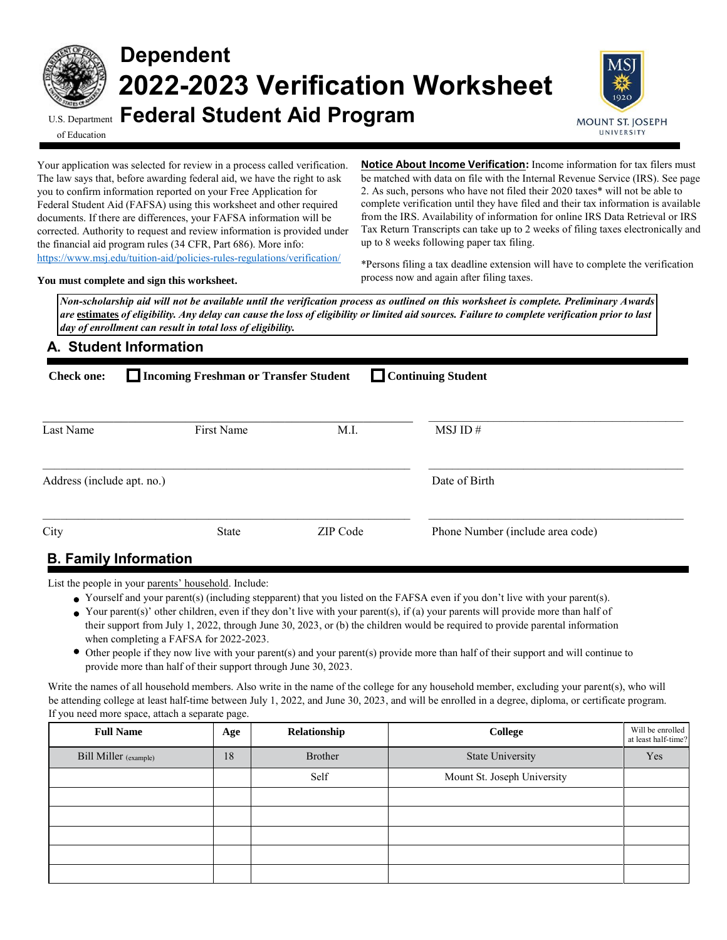

# **Dependent 2022-2023 Verification Worksheet** U.S. Department **Federal Student Aid Program**



of Education

Your application was selected for review in a process called verification. The law says that, before awarding federal aid, we have the right to ask you to confirm information reported on your Free Application for Federal Student Aid (FAFSA) using this worksheet and other required documents. If there are differences, your FAFSA information will be corrected. Authority to request and review information is provided under the financial aid program rules (34 CFR, Part 686). More info: <https://www.msj.edu/tuition-aid/policies-rules-regulations/verification/>

**Notice About Income Verification:** Income information for tax filers must be matched with data on file with the Internal Revenue Service (IRS). See page 2. As such, persons who have not filed their 2020 taxes\* will not be able to complete verification until they have filed and their tax information is available from the IRS. Availability of information for online IRS Data Retrieval or IRS Tax Return Transcripts can take up to 2 weeks of filing taxes electronically and up to 8 weeks following paper tax filing.

**You must complete and sign this worksheet.**

\*Persons filing a tax deadline extension will have to complete the verification process now and again after filing taxes.

*Non-scholarship aid will not be available until the verification process as outlined on this worksheet is complete. Preliminary Awards are* **estimates** *of eligibility. Any delay can cause the loss of eligibility or limited aid sources. Failure to complete verification prior to last day of enrollment can result in total loss of eligibility.* 

## **A. Student Information**

| □ Continuing Student<br>Incoming Freshman or Transfer Student<br><b>Check one:</b> |              |          |                                  |  |  |
|------------------------------------------------------------------------------------|--------------|----------|----------------------------------|--|--|
| Last Name                                                                          | First Name   | M.I.     | MSJ ID#                          |  |  |
| Address (include apt. no.)                                                         |              |          | Date of Birth                    |  |  |
| City                                                                               | <b>State</b> | ZIP Code | Phone Number (include area code) |  |  |
| <b>D</b> Eamily Information                                                        |              |          |                                  |  |  |

# **B. Family Information**

List the people in your parents' household. Include:

- Yourself and your parent(s) (including stepparent) that you listed on the FAFSA even if you don't live with your parent(s).
- Your parent(s)' other children, even if they don't live with your parent(s), if (a) your parents will provide more than half of their support from July 1, 2022, through June 30, 2023, or (b) the children would be required to provide parental information when completing a FAFSA for 2022-2023.
- Other people if they now live with your parent(s) and your parent(s) provide more than half of their support and will continue to provide more than half of their support through June 30, 2023.

Write the names of all household members. Also write in the name of the college for any household member, excluding your parent(s), who will be attending college at least half-time between July 1, 2022, and June 30, 2023, and will be enrolled in a degree, diploma, or certificate program. If you need more space, attach a separate page.

| <b>Full Name</b>      | Age | Relationship | <b>College</b>              | Will be enrolled<br>at least half-time? |
|-----------------------|-----|--------------|-----------------------------|-----------------------------------------|
| Bill Miller (example) | 18  | Brother      | <b>State University</b>     | Yes                                     |
|                       |     | Self         | Mount St. Joseph University |                                         |
|                       |     |              |                             |                                         |
|                       |     |              |                             |                                         |
|                       |     |              |                             |                                         |
|                       |     |              |                             |                                         |
|                       |     |              |                             |                                         |